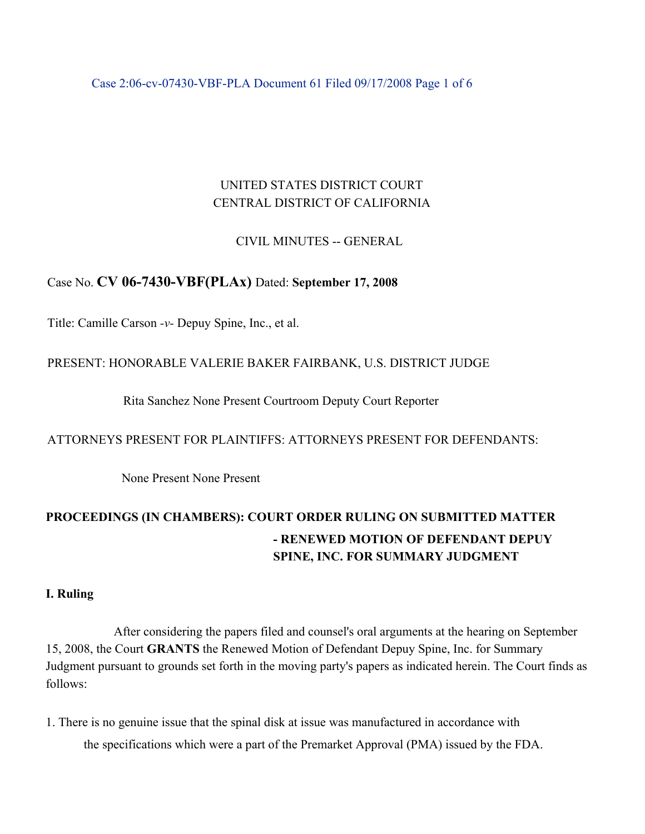Case 2:06-cv-07430-VBF-PLA Document 61 Filed 09/17/2008 Page 1 of 6

# UNITED STATES DISTRICT COURT CENTRAL DISTRICT OF CALIFORNIA

# CIVIL MINUTES -- GENERAL

# Case No. **CV 06-7430-VBF(PLAx)** Dated: **September 17, 2008**

Title: Camille Carson *-v-* Depuy Spine, Inc., et al.

# PRESENT: HONORABLE VALERIE BAKER FAIRBANK, U.S. DISTRICT JUDGE

Rita Sanchez None Present Courtroom Deputy Court Reporter

### ATTORNEYS PRESENT FOR PLAINTIFFS: ATTORNEYS PRESENT FOR DEFENDANTS:

None Present None Present

# **PROCEEDINGS (IN CHAMBERS): COURT ORDER RULING ON SUBMITTED MATTER - RENEWED MOTION OF DEFENDANT DEPUY SPINE, INC. FOR SUMMARY JUDGMENT**

### **I. Ruling**

After considering the papers filed and counsel's oral arguments at the hearing on September 15, 2008, the Court **GRANTS** the Renewed Motion of Defendant Depuy Spine, Inc. for Summary Judgment pursuant to grounds set forth in the moving party's papers as indicated herein. The Court finds as follows:

1. There is no genuine issue that the spinal disk at issue was manufactured in accordance with the specifications which were a part of the Premarket Approval (PMA) issued by the FDA.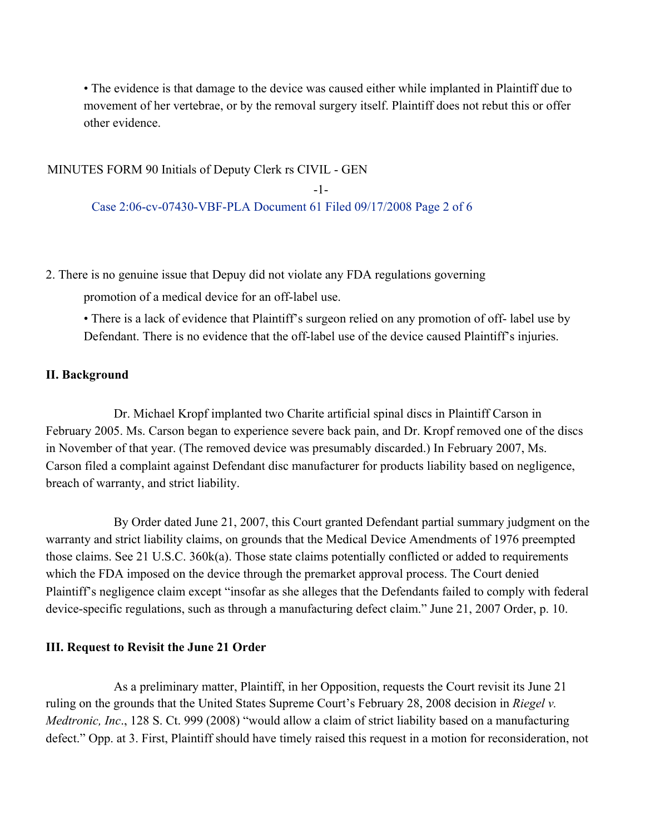• The evidence is that damage to the device was caused either while implanted in Plaintiff due to movement of her vertebrae, or by the removal surgery itself. Plaintiff does not rebut this or offer other evidence.

### MINUTES FORM 90 Initials of Deputy Clerk rs CIVIL - GEN

-1- Case 2:06-cv-07430-VBF-PLA Document 61 Filed 09/17/2008 Page 2 of 6

2. There is no genuine issue that Depuy did not violate any FDA regulations governing

promotion of a medical device for an off-label use.

• There is a lack of evidence that Plaintiff's surgeon relied on any promotion of off- label use by Defendant. There is no evidence that the off-label use of the device caused Plaintiff's injuries.

#### **II. Background**

Dr. Michael Kropf implanted two Charite artificial spinal discs in Plaintiff Carson in February 2005. Ms. Carson began to experience severe back pain, and Dr. Kropf removed one of the discs in November of that year. (The removed device was presumably discarded.) In February 2007, Ms. Carson filed a complaint against Defendant disc manufacturer for products liability based on negligence, breach of warranty, and strict liability.

By Order dated June 21, 2007, this Court granted Defendant partial summary judgment on the warranty and strict liability claims, on grounds that the Medical Device Amendments of 1976 preempted those claims. See 21 U.S.C. 360k(a). Those state claims potentially conflicted or added to requirements which the FDA imposed on the device through the premarket approval process. The Court denied Plaintiff's negligence claim except "insofar as she alleges that the Defendants failed to comply with federal device-specific regulations, such as through a manufacturing defect claim." June 21, 2007 Order, p. 10.

#### **III. Request to Revisit the June 21 Order**

As a preliminary matter, Plaintiff, in her Opposition, requests the Court revisit its June 21 ruling on the grounds that the United States Supreme Court's February 28, 2008 decision in *Riegel v. Medtronic, Inc*., 128 S. Ct. 999 (2008) "would allow a claim of strict liability based on a manufacturing defect." Opp. at 3. First, Plaintiff should have timely raised this request in a motion for reconsideration, not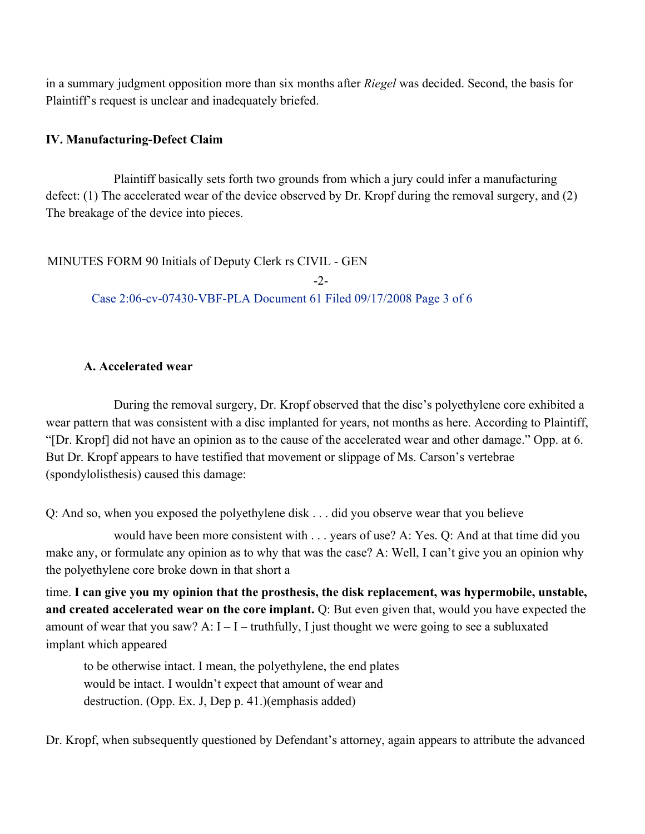in a summary judgment opposition more than six months after *Riegel* was decided. Second, the basis for Plaintiff's request is unclear and inadequately briefed.

# **IV. Manufacturing-Defect Claim**

Plaintiff basically sets forth two grounds from which a jury could infer a manufacturing defect: (1) The accelerated wear of the device observed by Dr. Kropf during the removal surgery, and (2) The breakage of the device into pieces.

# MINUTES FORM 90 Initials of Deputy Clerk rs CIVIL - GEN

 $-2-$ Case 2:06-cv-07430-VBF-PLA Document 61 Filed 09/17/2008 Page 3 of 6

# **A. Accelerated wear**

During the removal surgery, Dr. Kropf observed that the disc's polyethylene core exhibited a wear pattern that was consistent with a disc implanted for years, not months as here. According to Plaintiff, "[Dr. Kropf] did not have an opinion as to the cause of the accelerated wear and other damage." Opp. at 6. But Dr. Kropf appears to have testified that movement or slippage of Ms. Carson's vertebrae (spondylolisthesis) caused this damage:

Q: And so, when you exposed the polyethylene disk . . . did you observe wear that you believe

would have been more consistent with . . . years of use? A: Yes. Q: And at that time did you make any, or formulate any opinion as to why that was the case? A: Well, I can't give you an opinion why the polyethylene core broke down in that short a

time. **I can give you my opinion that the prosthesis, the disk replacement, was hypermobile, unstable, and created accelerated wear on the core implant.** Q: But even given that, would you have expected the amount of wear that you saw? A:  $I - I -$  truthfully, I just thought we were going to see a subluxated implant which appeared

to be otherwise intact. I mean, the polyethylene, the end plates would be intact. I wouldn't expect that amount of wear and destruction. (Opp. Ex. J, Dep p. 41.)(emphasis added)

Dr. Kropf, when subsequently questioned by Defendant's attorney, again appears to attribute the advanced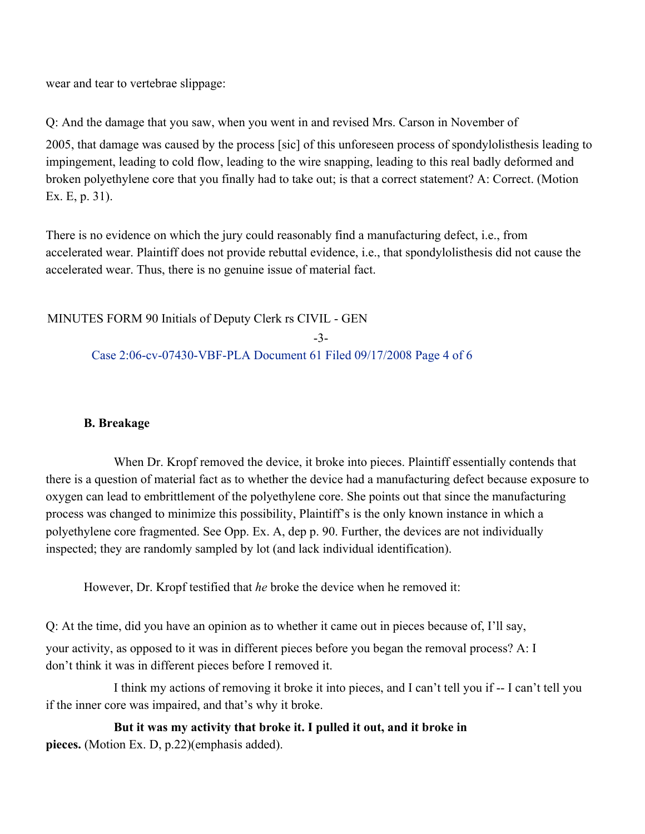wear and tear to vertebrae slippage:

Q: And the damage that you saw, when you went in and revised Mrs. Carson in November of

2005, that damage was caused by the process [sic] of this unforeseen process of spondylolisthesis leading to impingement, leading to cold flow, leading to the wire snapping, leading to this real badly deformed and broken polyethylene core that you finally had to take out; is that a correct statement? A: Correct. (Motion Ex. E, p. 31).

There is no evidence on which the jury could reasonably find a manufacturing defect, i.e., from accelerated wear. Plaintiff does not provide rebuttal evidence, i.e., that spondylolisthesis did not cause the accelerated wear. Thus, there is no genuine issue of material fact.

MINUTES FORM 90 Initials of Deputy Clerk rs CIVIL - GEN -3- Case 2:06-cv-07430-VBF-PLA Document 61 Filed 09/17/2008 Page 4 of 6

# **B. Breakage**

When Dr. Kropf removed the device, it broke into pieces. Plaintiff essentially contends that there is a question of material fact as to whether the device had a manufacturing defect because exposure to oxygen can lead to embrittlement of the polyethylene core. She points out that since the manufacturing process was changed to minimize this possibility, Plaintiff's is the only known instance in which a polyethylene core fragmented. See Opp. Ex. A, dep p. 90. Further, the devices are not individually inspected; they are randomly sampled by lot (and lack individual identification).

However, Dr. Kropf testified that *he* broke the device when he removed it:

Q: At the time, did you have an opinion as to whether it came out in pieces because of, I'll say, your activity, as opposed to it was in different pieces before you began the removal process? A: I don't think it was in different pieces before I removed it.

I think my actions of removing it broke it into pieces, and I can't tell you if -- I can't tell you if the inner core was impaired, and that's why it broke.

**But it was my activity that broke it. I pulled it out, and it broke in pieces.** (Motion Ex. D, p.22)(emphasis added).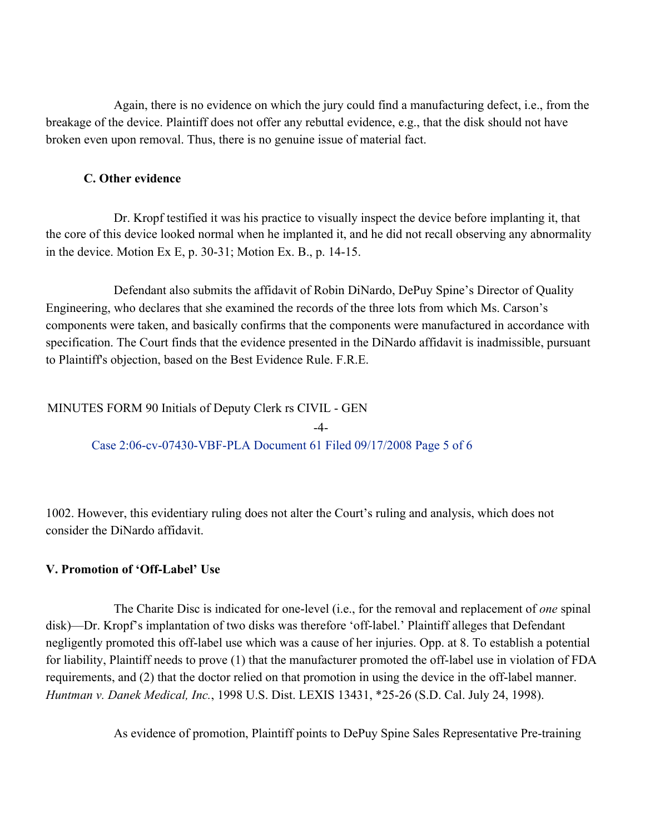Again, there is no evidence on which the jury could find a manufacturing defect, i.e., from the breakage of the device. Plaintiff does not offer any rebuttal evidence, e.g., that the disk should not have broken even upon removal. Thus, there is no genuine issue of material fact.

### **C. Other evidence**

Dr. Kropf testified it was his practice to visually inspect the device before implanting it, that the core of this device looked normal when he implanted it, and he did not recall observing any abnormality in the device. Motion Ex E, p. 30-31; Motion Ex. B., p. 14-15.

Defendant also submits the affidavit of Robin DiNardo, DePuy Spine's Director of Quality Engineering, who declares that she examined the records of the three lots from which Ms. Carson's components were taken, and basically confirms that the components were manufactured in accordance with specification. The Court finds that the evidence presented in the DiNardo affidavit is inadmissible, pursuant to Plaintiff's objection, based on the Best Evidence Rule. F.R.E.

-4-

# MINUTES FORM 90 Initials of Deputy Clerk rs CIVIL - GEN

Case 2:06-cv-07430-VBF-PLA Document 61 Filed 09/17/2008 Page 5 of 6

1002. However, this evidentiary ruling does not alter the Court's ruling and analysis, which does not consider the DiNardo affidavit.

# **V. Promotion of 'Off-Label' Use**

The Charite Disc is indicated for one-level (i.e., for the removal and replacement of *one* spinal disk)—Dr. Kropf's implantation of two disks was therefore 'off-label.' Plaintiff alleges that Defendant negligently promoted this off-label use which was a cause of her injuries. Opp. at 8. To establish a potential for liability, Plaintiff needs to prove (1) that the manufacturer promoted the off-label use in violation of FDA requirements, and (2) that the doctor relied on that promotion in using the device in the off-label manner. *Huntman v. Danek Medical, Inc.*, 1998 U.S. Dist. LEXIS 13431, \*25-26 (S.D. Cal. July 24, 1998).

As evidence of promotion, Plaintiff points to DePuy Spine Sales Representative Pre-training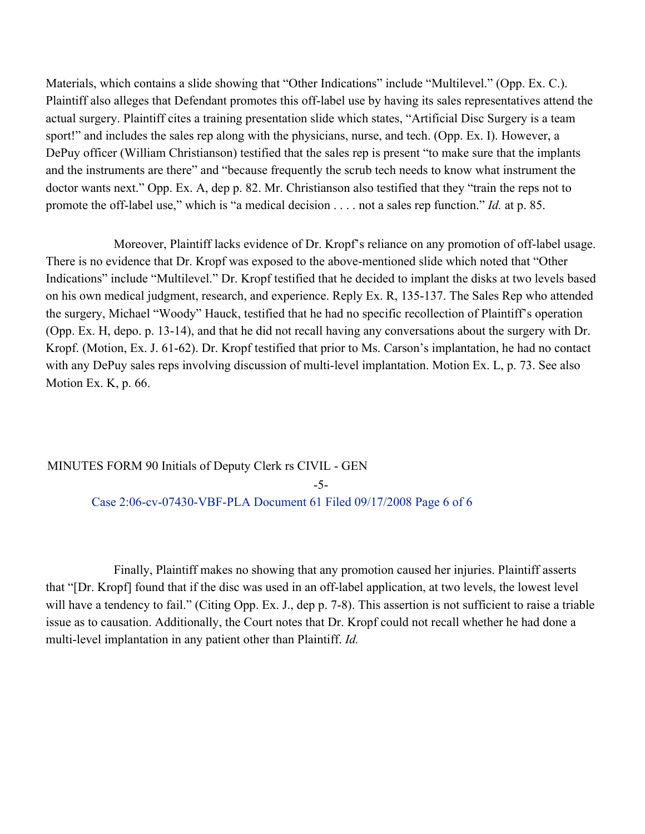Materials, which contains a slide showing that "Other Indications" include "Multilevel." (Opp. Ex. C.). Plaintiff also alleges that Defendant promotes this off-label use by having its sales representatives attend the actual surgery. Plaintiff cites a training presentation slide which states, "Artificial Disc Surgery is a team sport!" and includes the sales rep along with the physicians, nurse, and tech. (Opp. Ex. I). However, a DePuy officer (William Christianson) testified that the sales rep is present "to make sure that the implants and the instruments are there" and "because frequently the scrub tech needs to know what instrument the doctor wants next." Opp. Ex. A, dep p. 82. Mr. Christianson also testified that they "train the reps not to promote the off-label use," which is "a medical decision . . . . not a sales rep function." *Id.* at p. 85.

Moreover, Plaintiff lacks evidence of Dr. Kropf's reliance on any promotion of off-label usage. There is no evidence that Dr. Kropf was exposed to the above-mentioned slide which noted that "Other Indications" include "Multilevel." Dr. Kropf testified that he decided to implant the disks at two levels based on his own medical judgment, research, and experience. Reply Ex. R, 135-137. The Sales Rep who attended the surgery, Michael "Woody" Hauck, testified that he had no specific recollection of Plaintiff's operation (Opp. Ex. H, depo. p. 13-14), and that he did not recall having any conversations about the surgery with Dr. Kropf. (Motion, Ex. J. 61-62). Dr. Kropf testified that prior to Ms. Carson's implantation, he had no contact with any DePuy sales reps involving discussion of multi-level implantation. Motion Ex. L, p. 73. See also Motion Ex. K, p. 66.

# MINUTES FORM 90 Initials of Deputy Clerk rs CIVIL - GEN -5- Case 2:06-cv-07430-VBF-PLA Document 61 Filed 09/17/2008 Page 6 of 6

Finally, Plaintiff makes no showing that any promotion caused her injuries. Plaintiff asserts that "[Dr. Kropf] found that if the disc was used in an off-label application, at two levels, the lowest level will have a tendency to fail." (Citing Opp. Ex. J., dep p. 7-8). This assertion is not sufficient to raise a triable issue as to causation. Additionally, the Court notes that Dr. Kropf could not recall whether he had done a multi-level implantation in any patient other than Plaintiff. *Id.*